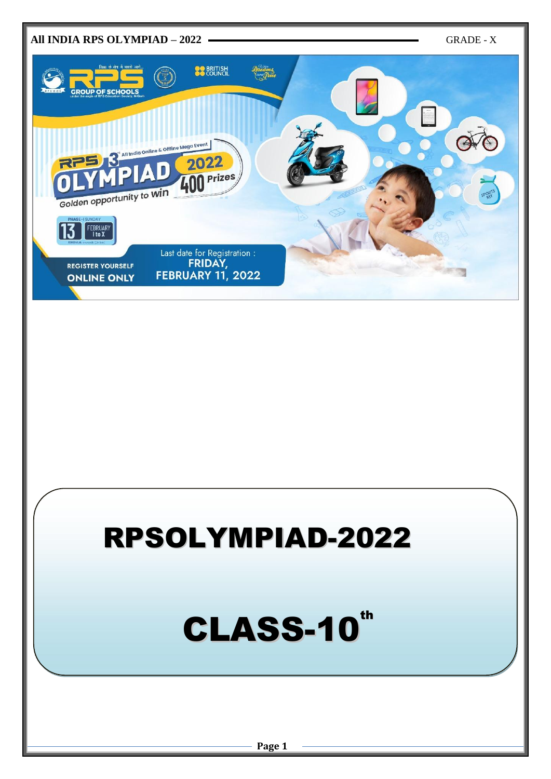

## RPSOLYMPIAD-2022

# CLASS-10<sup>th</sup>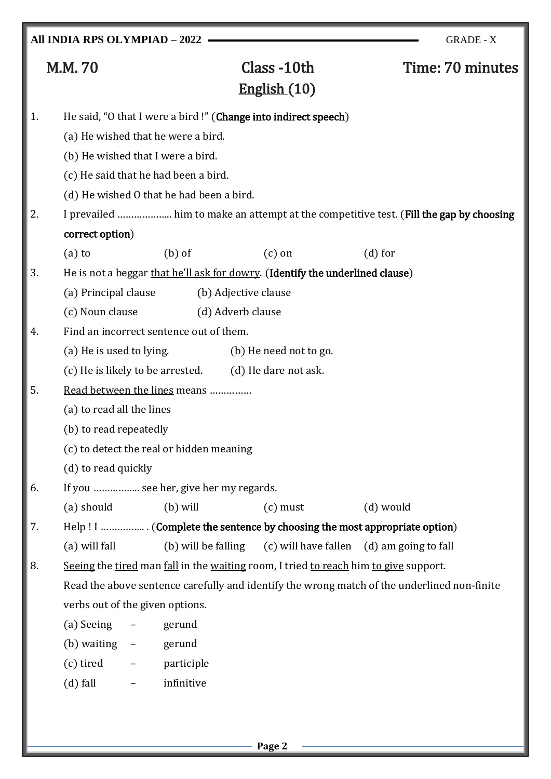## M.M. 70 Class -10th Time: 70 minutes English (10) 1. He said, "O that I were a bird !" (Change into indirect speech) (a) He wished that he were a bird. (b) He wished that I were a bird. (c) He said that he had been a bird. (d) He wished O that he had been a bird. 2. I prevailed ........................ him to make an attempt at the competitive test. (Fill the gap by choosing correct option) (a) to  $(a)$  (b) of  $(c)$  on  $(d)$  for 3. He is not a beggar that he'll ask for dowry. (Identify the underlined clause) (a) Principal clause (b) Adjective clause (c) Noun clause (d) Adverb clause 4. Find an incorrect sentence out of them. (a) He is used to lying. (b) He need not to go.  $(c)$  He is likely to be arrested.  $(d)$  He dare not ask. 5. Read between the lines means …………… (a) to read all the lines (b) to read repeatedly (c) to detect the real or hidden meaning (d) to read quickly 6. If you …………….. see her, give her my regards. (a) should (b) will (c) must (d) would 7. Help ! I ……………. . (Complete the sentence by choosing the most appropriate option) (a) will fall (b) will be falling (c) will have fallen (d) am going to fall 8. Seeing the tired man fall in the waiting room, I tried to reach him to give support. Read the above sentence carefully and identify the wrong match of the underlined non-finite verbs out of the given options. (a) Seeing – gerund (b) waiting – gerund (c) tired – participle (d) fall – infinitive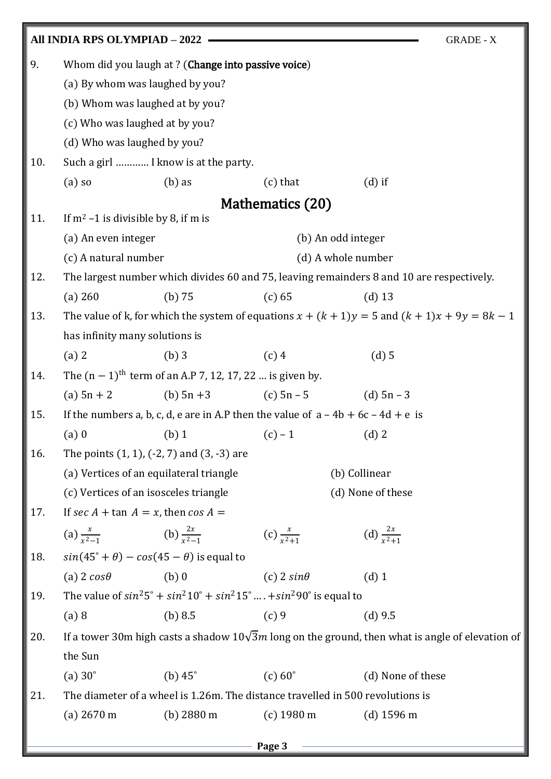|        | All INDIA RPS OLYMPIAD - 2022<br><b>GRADE - X</b>        |                                                                        |                                                                                              |                                                                                                         |
|--------|----------------------------------------------------------|------------------------------------------------------------------------|----------------------------------------------------------------------------------------------|---------------------------------------------------------------------------------------------------------|
| 9.     |                                                          | Whom did you laugh at ? (Change into passive voice)                    |                                                                                              |                                                                                                         |
|        | (a) By whom was laughed by you?                          |                                                                        |                                                                                              |                                                                                                         |
|        | (b) Whom was laughed at by you?                          |                                                                        |                                                                                              |                                                                                                         |
|        | (c) Who was laughed at by you?                           |                                                                        |                                                                                              |                                                                                                         |
|        | (d) Who was laughed by you?                              |                                                                        |                                                                                              |                                                                                                         |
| 10.    |                                                          | Such a girl  I know is at the party.                                   |                                                                                              |                                                                                                         |
|        | $(a)$ so                                                 | $(b)$ as                                                               | $(c)$ that                                                                                   | $(d)$ if                                                                                                |
|        |                                                          |                                                                        | Mathematics (20)                                                                             |                                                                                                         |
| 11.    | If $m^2$ –1 is divisible by 8, if m is                   |                                                                        |                                                                                              |                                                                                                         |
|        | (a) An even integer                                      |                                                                        | (b) An odd integer                                                                           |                                                                                                         |
|        | (c) A natural number<br>(d) A whole number               |                                                                        |                                                                                              |                                                                                                         |
| 12.    |                                                          |                                                                        |                                                                                              | The largest number which divides 60 and 75, leaving remainders 8 and 10 are respectively.               |
|        | (a) 260                                                  | $(b)$ 75                                                               | (c) 65                                                                                       | $(d)$ 13                                                                                                |
| 13.    |                                                          |                                                                        |                                                                                              | The value of k, for which the system of equations $x + (k + 1)y = 5$ and $(k + 1)x + 9y = 8k - 1$       |
|        | has infinity many solutions is                           |                                                                        |                                                                                              |                                                                                                         |
|        | $(a)$ 2                                                  | $(b)$ 3                                                                | $(c)$ 4                                                                                      | $(d)$ 5                                                                                                 |
| 14.    |                                                          | The $(n - 1)$ <sup>th</sup> term of an A.P 7, 12, 17, 22  is given by. |                                                                                              |                                                                                                         |
|        | $(a) 5n + 2$                                             |                                                                        | (b) $5n + 3$ (c) $5n - 5$ (d) $5n - 3$                                                       |                                                                                                         |
| 15.    |                                                          |                                                                        | If the numbers a, b, c, d, e are in A.P then the value of $a - 4b + 6c - 4d + e$ is          |                                                                                                         |
|        | $(a)$ 0                                                  | $(b)$ 1                                                                | $(c) - 1$                                                                                    | $(d)$ 2                                                                                                 |
| 16.    |                                                          | The points $(1, 1)$ , $(-2, 7)$ and $(3, -3)$ are                      |                                                                                              |                                                                                                         |
|        | (a) Vertices of an equilateral triangle<br>(b) Collinear |                                                                        |                                                                                              |                                                                                                         |
|        | (c) Vertices of an isosceles triangle                    |                                                                        |                                                                                              | (d) None of these                                                                                       |
| 17.    | If sec A + tan $A = x$ , then cos A =                    |                                                                        |                                                                                              |                                                                                                         |
|        | (a) $\frac{x}{x^2-1}$ (b) $\frac{2x}{x^2-1}$             |                                                                        | (c) $\frac{x}{r^2+1}$                                                                        | (d) $\frac{2x}{x^2+1}$                                                                                  |
| 18.    |                                                          | $sin(45^\circ + \theta) - cos(45 - \theta)$ is equal to                |                                                                                              |                                                                                                         |
|        | (a) $2 cos \theta$                                       | $(b)$ 0                                                                | (c) $2 sin\theta$                                                                            | $(d)$ 1                                                                                                 |
| 19.    |                                                          |                                                                        | The value of $sin^2 5^\circ + sin^2 10^\circ + sin^2 15^\circ  + sin^2 90^\circ$ is equal to |                                                                                                         |
|        | (a) 8                                                    | (b) 8.5                                                                | $(c)$ 9                                                                                      | $(d)$ 9.5                                                                                               |
| 20.    |                                                          |                                                                        |                                                                                              | If a tower 30m high casts a shadow $10\sqrt{3}m$ long on the ground, then what is angle of elevation of |
|        | the Sun                                                  |                                                                        |                                                                                              |                                                                                                         |
|        | (a) $30^\circ$                                           | (b) $45^\circ$                                                         | $(c) 60^\circ$                                                                               | (d) None of these                                                                                       |
| 21.    |                                                          |                                                                        | The diameter of a wheel is 1.26m. The distance travelled in 500 revolutions is               |                                                                                                         |
|        | $(a)$ 2670 m                                             | (b) $2880 \text{ m}$                                                   | $(c)$ 1980 m                                                                                 | (d) $1596 \text{ m}$                                                                                    |
| Page 3 |                                                          |                                                                        |                                                                                              |                                                                                                         |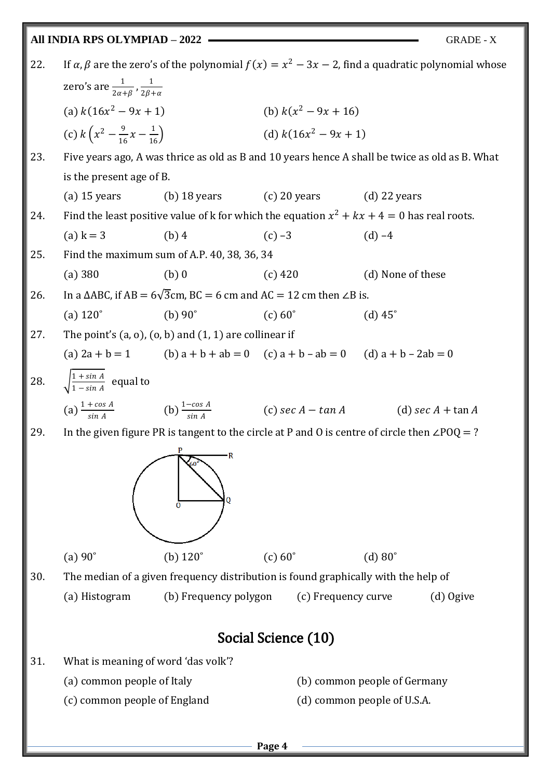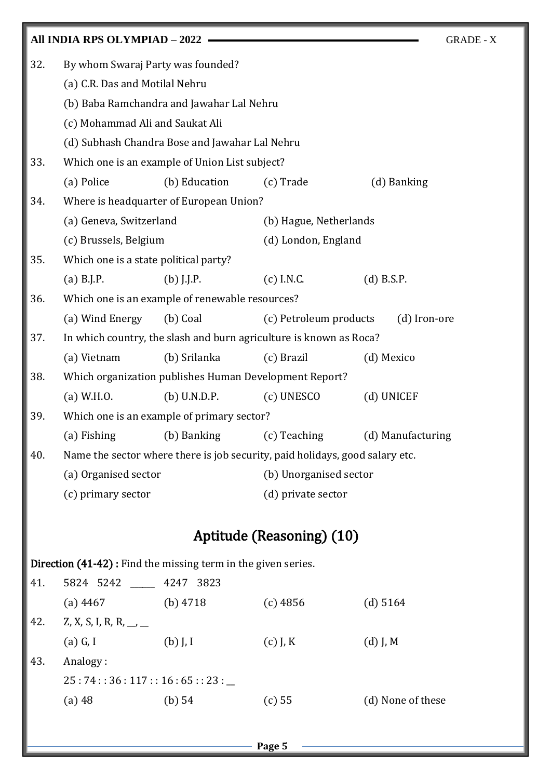|                                                                                   | All INDIA RPS OLYMPIAD - 2022                                                |                                                |                           | <b>GRADE - X</b>  |  |
|-----------------------------------------------------------------------------------|------------------------------------------------------------------------------|------------------------------------------------|---------------------------|-------------------|--|
| 32.                                                                               | By whom Swaraj Party was founded?                                            |                                                |                           |                   |  |
|                                                                                   | (a) C.R. Das and Motilal Nehru                                               |                                                |                           |                   |  |
|                                                                                   | (b) Baba Ramchandra and Jawahar Lal Nehru                                    |                                                |                           |                   |  |
| (c) Mohammad Ali and Saukat Ali<br>(d) Subhash Chandra Bose and Jawahar Lal Nehru |                                                                              |                                                |                           |                   |  |
|                                                                                   |                                                                              |                                                |                           |                   |  |
| 33.                                                                               |                                                                              | Which one is an example of Union List subject? |                           |                   |  |
|                                                                                   | (a) Police                                                                   | (b) Education                                  | (c) Trade                 | (d) Banking       |  |
| 34.                                                                               | Where is headquarter of European Union?                                      |                                                |                           |                   |  |
|                                                                                   | (a) Geneva, Switzerland                                                      |                                                | (b) Hague, Netherlands    |                   |  |
|                                                                                   | (c) Brussels, Belgium                                                        |                                                | (d) London, England       |                   |  |
| 35.                                                                               | Which one is a state political party?                                        |                                                |                           |                   |  |
|                                                                                   | $(a)$ B.J.P.                                                                 | $(b)$ J.J.P.                                   | $(c)$ I.N.C.              | $(d)$ B.S.P.      |  |
| 36.                                                                               | Which one is an example of renewable resources?                              |                                                |                           |                   |  |
|                                                                                   | (a) Wind Energy                                                              | (b) Coal                                       | (c) Petroleum products    | (d) Iron-ore      |  |
| 37.                                                                               | In which country, the slash and burn agriculture is known as Roca?           |                                                |                           |                   |  |
|                                                                                   | (a) Vietnam                                                                  | (b) Srilanka                                   | (c) Brazil                | (d) Mexico        |  |
| 38.                                                                               | Which organization publishes Human Development Report?                       |                                                |                           |                   |  |
|                                                                                   | $(a)$ W.H.O.                                                                 | $(b)$ U.N.D.P.                                 | (c) UNESCO                | (d) UNICEF        |  |
| 39.                                                                               | Which one is an example of primary sector?                                   |                                                |                           |                   |  |
|                                                                                   | (a) Fishing                                                                  | (b) Banking                                    | (c) Teaching              | (d) Manufacturing |  |
| 40.                                                                               | Name the sector where there is job security, paid holidays, good salary etc. |                                                |                           |                   |  |
|                                                                                   | (a) Organised sector                                                         |                                                | (b) Unorganised sector    |                   |  |
|                                                                                   | (c) primary sector                                                           |                                                | (d) private sector        |                   |  |
|                                                                                   |                                                                              |                                                | Aptitude (Reasoning) (10) |                   |  |
|                                                                                   | Direction (41-42): Find the missing term in the given series.                |                                                |                           |                   |  |

| 41. | 5824 5242                | 4247 3823  |            |                   |  |
|-----|--------------------------|------------|------------|-------------------|--|
|     | $(a)$ 4467               | (b) $4718$ | $(c)$ 4856 | (d) 5164          |  |
| 42. | Z, X, S, I, R, R, __, __ |            |            |                   |  |
|     | $(a)$ G, I               | $(b)$ J, I | $(c)$ J, K | $(d)$ J, M        |  |
| 43. | Analogy:                 |            |            |                   |  |
|     | 25:74:36:117:16:65:23:   |            |            |                   |  |
|     | $(a)$ 48                 | (b) 54     | (c) 55     | (d) None of these |  |
|     |                          |            |            |                   |  |

**Page 5**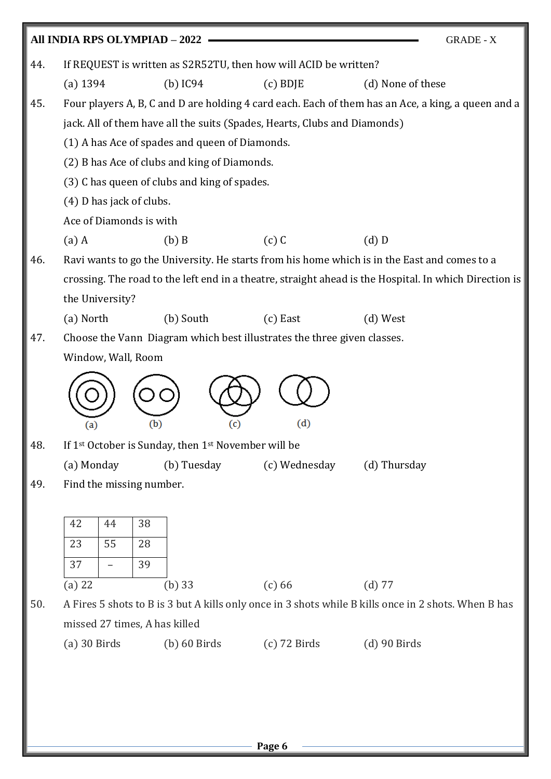|     | All INDIA RPS OLYMPIAD - 2022<br><b>GRADE - X</b>                                                      |                                                |                   |  |
|-----|--------------------------------------------------------------------------------------------------------|------------------------------------------------|-------------------|--|
| 44. | If REQUEST is written as S2R52TU, then how will ACID be written?                                       |                                                |                   |  |
|     | $(b)$ IC94<br>$(a)$ 1394                                                                               | $(c)$ BDJE                                     | (d) None of these |  |
| 45. | Four players A, B, C and D are holding 4 card each. Each of them has an Ace, a king, a queen and a     |                                                |                   |  |
|     | jack. All of them have all the suits (Spades, Hearts, Clubs and Diamonds)                              |                                                |                   |  |
|     |                                                                                                        | (1) A has Ace of spades and queen of Diamonds. |                   |  |
|     | (2) B has Ace of clubs and king of Diamonds.                                                           |                                                |                   |  |
|     | (3) C has queen of clubs and king of spades.                                                           |                                                |                   |  |
|     | (4) D has jack of clubs.                                                                               |                                                |                   |  |
|     | Ace of Diamonds is with                                                                                |                                                |                   |  |
|     | $(b)$ B<br>$(a)$ A                                                                                     | $(c)$ C                                        | $(d)$ D           |  |
| 46. | Ravi wants to go the University. He starts from his home which is in the East and comes to a           |                                                |                   |  |
|     | crossing. The road to the left end in a theatre, straight ahead is the Hospital. In which Direction is |                                                |                   |  |
|     | the University?                                                                                        |                                                |                   |  |
|     | (a) North<br>(b) South                                                                                 | $(c)$ East                                     | $(d)$ West        |  |
| 47. | Choose the Vann Diagram which best illustrates the three given classes.                                |                                                |                   |  |
|     | Window, Wall, Room                                                                                     |                                                |                   |  |
| 48. | (b)<br>(c)<br>(a)<br>If 1 <sup>st</sup> October is Sunday, then 1 <sup>st</sup> November will be       | (d)                                            |                   |  |
|     | (a) Monday<br>(b) Tuesday                                                                              | (c) Wednesday                                  | (d) Thursday      |  |
| 49. | Find the missing number.                                                                               |                                                |                   |  |
|     | 42<br>38<br>44<br>23<br>55<br>28<br>37<br>39                                                           |                                                |                   |  |
|     | $(a)$ 22<br>$(b)$ 33                                                                                   | $(c)$ 66                                       | $(d)$ 77          |  |
| 50. | A Fires 5 shots to B is 3 but A kills only once in 3 shots while B kills once in 2 shots. When B has   |                                                |                   |  |
|     | missed 27 times, A has killed                                                                          |                                                |                   |  |
|     | $(a)$ 30 Birds<br>$(b)$ 60 Birds                                                                       | $(c)$ 72 Birds                                 | $(d)$ 90 Birds    |  |
|     |                                                                                                        |                                                |                   |  |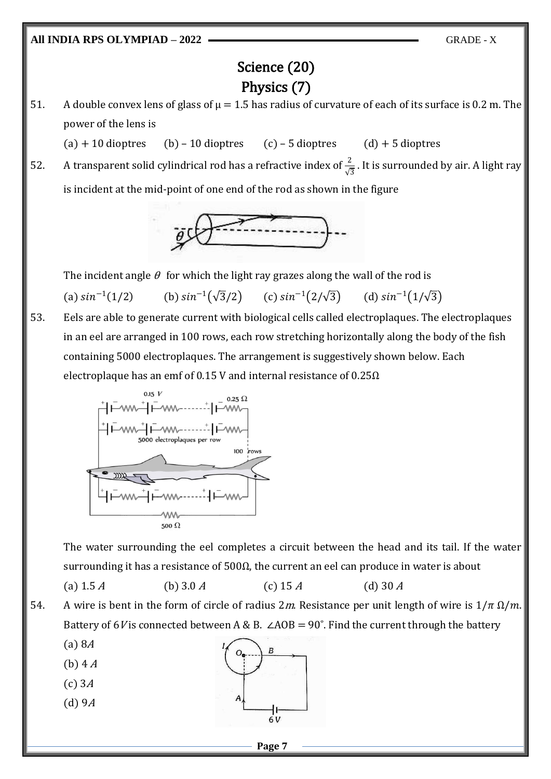## Science (20) Physics (7)

51. A double convex lens of glass of  $\mu = 1.5$  has radius of curvature of each of its surface is 0.2 m. The power of the lens is

 $(a) + 10$  dioptres (b) – 10 dioptres (c) – 5 dioptres (d) + 5 dioptres

52. A transparent solid cylindrical rod has a refractive index of  $\frac{2}{\sqrt{3}}$ . It is surrounded by air. A light ray is incident at the mid-point of one end of the rod as shown in the figure



The incident angle  $\theta$  for which the light ray grazes along the wall of the rod is (a)  $sin^{-1}$ (1/2) (b)  $\sin^{-1}(\sqrt{3}/2)$  (c)  $\sin^{-1}(2/\sqrt{3})$  (d)  $\sin^{-1}(1/\sqrt{3})$ 

53. Eels are able to generate current with biological cells called electroplaques. The electroplaques in an eel are arranged in 100 rows, each row stretching horizontally along the body of the fish containing 5000 electroplaques. The arrangement is suggestively shown below. Each electroplaque has an emf of 0.15 V and internal resistance of  $0.25\Omega$ 



The water surrounding the eel completes a circuit between the head and its tail. If the water surrounding it has a resistance of  $500\Omega$ , the current an eel can produce in water is about

(a)  $1.5 A$  (b)  $3.0 A$  (c)  $15 A$  (d)  $30 A$ 

- 54. A wire is bent in the form of circle of radius 2m. Resistance per unit length of wire is  $1/\pi \Omega/m$ . Battery of 6V is connected between A & B.  $\angle AOB = 90^\circ$ . Find the current through the battery
	- (a) 8<sup>A</sup>
	- $(b)$  4  $A$
	- $(c)$  3 $A$
	- $(d)$  9 $A$

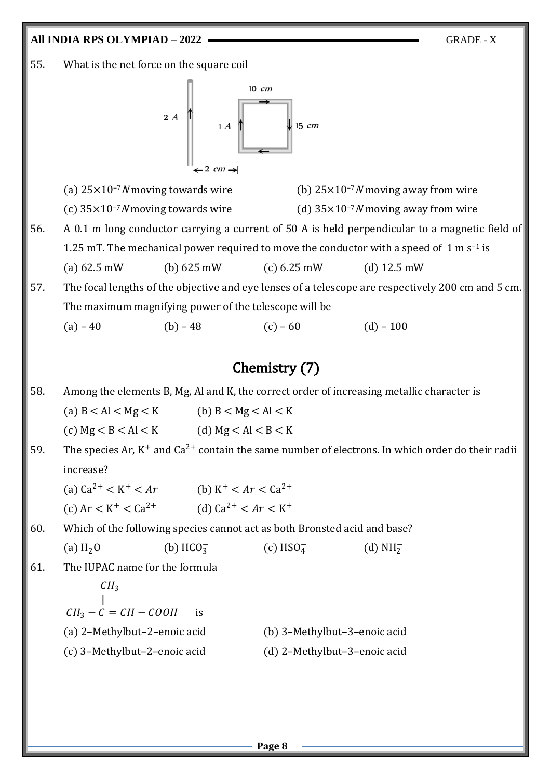55. What is the net force on the square coil



(a)  $25 \times 10^{-7} N$  moving towards wire (b)  $25 \times 10^{-7} N$  moving away from wire

- (c)  $35 \times 10^{-7} N$  moving towards wire (d)  $35 \times 10^{-7} N$  moving away from wire
- 56. A 0.1 m long conductor carrying a current of 50 A is held perpendicular to a magnetic field of 1.25 mT. The mechanical power required to move the conductor with a speed of  $1 \text{ m s}^{-1}$  is (a) 62.5 mW (b) 625 mW (c) 6.25 mW (d) 12.5 mW
- 57. The focal lengths of the objective and eye lenses of a telescope are respectively 200 cm and 5 cm. The maximum magnifying power of the telescope will be

(a) – 40 (b) – 48 (c) – 60 (d) – 100

### Chemistry (7)

58. Among the elements B, Mg, Al and K, the correct order of increasing metallic character is

(a)  $B < A I < Mg < K$  (b)  $B < Mg < A I < K$ (c)  $Mg < B < A l < K$  (d)  $Mg < A l < B < K$ 

59. The species Ar,  $K^+$  and  $Ca^{2+}$  contain the same number of electrons. In which order do their radii increase?

(a)  $Ca^{2+} < K^+ < Ar$  (b) K (b)  $K^+ < Ar < Ca^{2+}$ (c)  $Ar < K^+ < Ca^{2+}$ + < Ca<sup>2+</sup> (d) Ca<sup>2+</sup> < Ar < K<sup>+</sup>

60. Which of the following species cannot act as both Bronsted acid and base?

(a)  $H_2O$  (b)  $HCO_3^ (c)$  HSO $_4^ \frac{1}{4}$  (d) NH<sub>2</sub>

61. The IUPAC name for the formula

| $CH_3$                       |                              |
|------------------------------|------------------------------|
| $CH_3 - C = CH - COOH$       | is                           |
| (a) 2-Methylbut-2-enoic acid | (b) 3-Methylbut-3-enoic acid |
| (c) 3-Methylbut-2-enoic acid | (d) 2-Methylbut-3-enoic acid |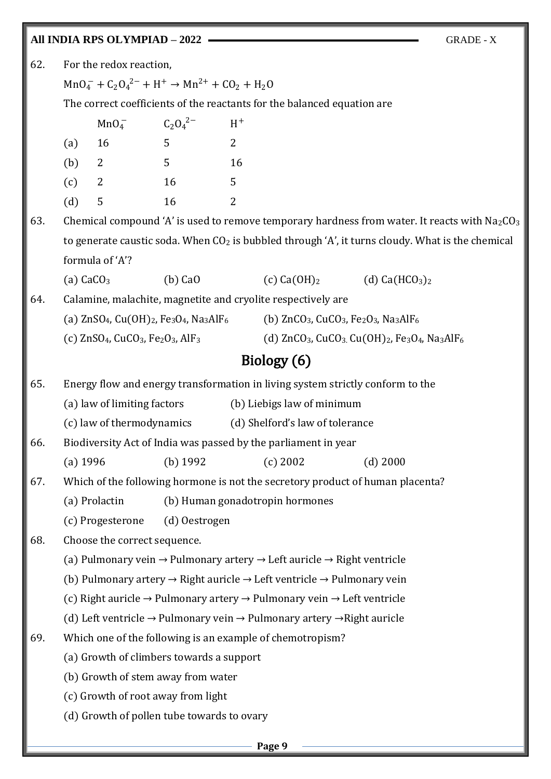62. For the redox reaction,

 $MnO_4^- + C_2O_4^{2-} + H^+ \rightarrow Mn^{2+} + CO_2 + H_2O$ 

The correct coefficients of the reactants for the balanced equation are

|     | MnO <sub>4</sub> | $C_2O_4^{2-}$ | $\rm H^+$    |
|-----|------------------|---------------|--------------|
| (a) | 16               | 5             | $\mathbf{2}$ |
| (b) | 2                | 5             | 16           |
| (c) | 2                | 16            | $5^{\circ}$  |
| (d) | 5                | 16            | 2            |

63. Chemical compound 'A' is used to remove temporary hardness from water. It reacts with  $Na<sub>2</sub>CO<sub>3</sub>$ to generate caustic soda. When  $CO<sub>2</sub>$  is bubbled through 'A', it turns cloudy. What is the chemical formula of 'A'?

(a) CaCO<sub>3</sub> (b) CaO (c) Ca(OH)<sub>2</sub> (d) Ca(HCO<sub>3</sub>)<sub>2</sub>

64. Calamine, malachite, magnetite and cryolite respectively are

| (a) $\text{ZnSO}_4$ , $\text{Cu}(\text{OH})_2$ , Fe <sub>3</sub> O <sub>4</sub> , Na <sub>3</sub> AlF <sub>6</sub> | (b) $ZnCO_3$ , CuCO <sub>3</sub> , Fe <sub>2</sub> O <sub>3</sub> , Na <sub>3</sub> AlF <sub>6</sub> |
|--------------------------------------------------------------------------------------------------------------------|------------------------------------------------------------------------------------------------------|
|                                                                                                                    |                                                                                                      |

(c)  $ZnSO_4$ , CuCO<sub>3</sub>, Fe<sub>2</sub>O<sub>3</sub>, AlF<sub>3</sub> (d)  $ZnCO_3$ , CuCO<sub>3</sub>. Cu(OH)<sub>2</sub>, Fe<sub>3</sub>O<sub>4</sub>, Na<sub>3</sub>AlF<sub>6</sub>

## Biology (6)

65. Energy flow and energy transformation in living system strictly conform to the

(a) law of limiting factors (b) Liebigs law of minimum

(c) law of thermodynamics (d) Shelford's law of tolerance

66. Biodiversity Act of India was passed by the parliament in year

(a) 1996 (b) 1992 (c) 2002 (d) 2000

67. Which of the following hormone is not the secretory product of human placenta?

(a) Prolactin (b) Human gonadotropin hormones

(c) Progesterone (d) Oestrogen

68. Choose the correct sequence.

(a) Pulmonary vein  $\rightarrow$  Pulmonary artery  $\rightarrow$  Left auricle  $\rightarrow$  Right ventricle

(b) Pulmonary artery  $\rightarrow$  Right auricle  $\rightarrow$  Left ventricle  $\rightarrow$  Pulmonary vein

(c) Right auricle → Pulmonary artery → Pulmonary vein → Left ventricle

(d) Left ventricle  $\rightarrow$  Pulmonary vein  $\rightarrow$  Pulmonary artery  $\rightarrow$  Right auricle

69. Which one of the following is an example of chemotropism?

(a) Growth of climbers towards a support

(b) Growth of stem away from water

(c) Growth of root away from light

(d) Growth of pollen tube towards to ovary

**Page 9**